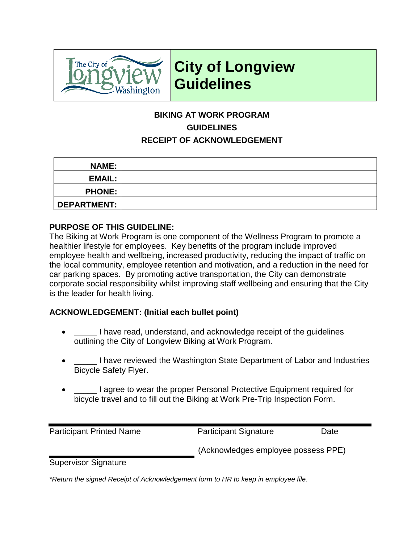

## **City of Longview Guidelines**

### **BIKING AT WORK PROGRAM GUIDELINES RECEIPT OF ACKNOWLEDGEMENT**

| <b>NAME:</b>       |  |
|--------------------|--|
| <b>EMAIL:</b>      |  |
| <b>PHONE:</b>      |  |
| <b>DEPARTMENT:</b> |  |

#### **PURPOSE OF THIS GUIDELINE:**

The Biking at Work Program is one component of the Wellness Program to promote a healthier lifestyle for employees. Key benefits of the program include improved employee health and wellbeing, increased productivity, reducing the impact of traffic on the local community, employee retention and motivation, and a reduction in the need for car parking spaces. By promoting active transportation, the City can demonstrate corporate social responsibility whilst improving staff wellbeing and ensuring that the City is the leader for health living.

### **ACKNOWLEDGEMENT: (Initial each bullet point)**

- \_\_\_\_\_ I have read, understand, and acknowledge receipt of the guidelines outlining the City of Longview Biking at Work Program.
- \_\_\_\_\_ I have reviewed the Washington State Department of Labor and Industries Bicycle Safety Flyer.
- \_\_\_\_\_ I agree to wear the proper Personal Protective Equipment required for bicycle travel and to fill out the Biking at Work Pre-Trip Inspection Form.

Participant Printed Name Participant Signature Date

(Acknowledges employee possess PPE)

Supervisor Signature

*\*Return the signed Receipt of Acknowledgement form to HR to keep in employee file.*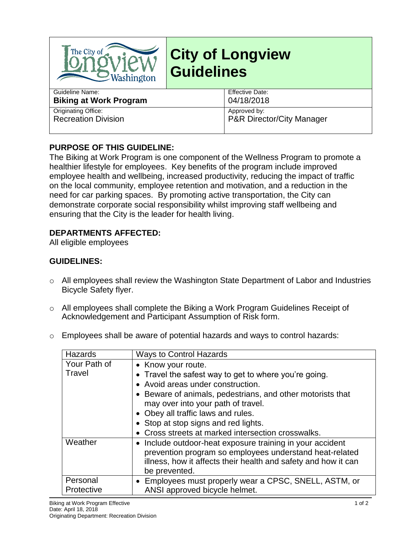

# **City of Longview Guidelines**

| Guideline Name:               | Effective Date:           |
|-------------------------------|---------------------------|
| <b>Biking at Work Program</b> | 04/18/2018                |
| Originating Office:           | Approved by:              |
| <b>Recreation Division</b>    | P&R Director/City Manager |
|                               |                           |

#### **PURPOSE OF THIS GUIDELINE:**

The Biking at Work Program is one component of the Wellness Program to promote a healthier lifestyle for employees. Key benefits of the program include improved employee health and wellbeing, increased productivity, reducing the impact of traffic on the local community, employee retention and motivation, and a reduction in the need for car parking spaces. By promoting active transportation, the City can demonstrate corporate social responsibility whilst improving staff wellbeing and ensuring that the City is the leader for health living.

#### **DEPARTMENTS AFFECTED:**

All eligible employees

#### **GUIDELINES:**

- o All employees shall review the Washington State Department of Labor and Industries Bicycle Safety flyer.
- o All employees shall complete the Biking a Work Program Guidelines Receipt of Acknowledgement and Participant Assumption of Risk form.
- o Employees shall be aware of potential hazards and ways to control hazards:

| Hazards                | <b>Ways to Control Hazards</b>                                                                                                                                                                          |
|------------------------|---------------------------------------------------------------------------------------------------------------------------------------------------------------------------------------------------------|
| Your Path of<br>Travel | • Know your route.<br>• Travel the safest way to get to where you're going.<br>• Avoid areas under construction.<br>• Beware of animals, pedestrians, and other motorists that                          |
|                        | may over into your path of travel.<br>• Obey all traffic laws and rules.<br>• Stop at stop signs and red lights.<br>• Cross streets at marked intersection crosswalks.                                  |
| Weather                | • Include outdoor-heat exposure training in your accident<br>prevention program so employees understand heat-related<br>illness, how it affects their health and safety and how it can<br>be prevented. |
| Personal<br>Protective | • Employees must properly wear a CPSC, SNELL, ASTM, or<br>ANSI approved bicycle helmet.                                                                                                                 |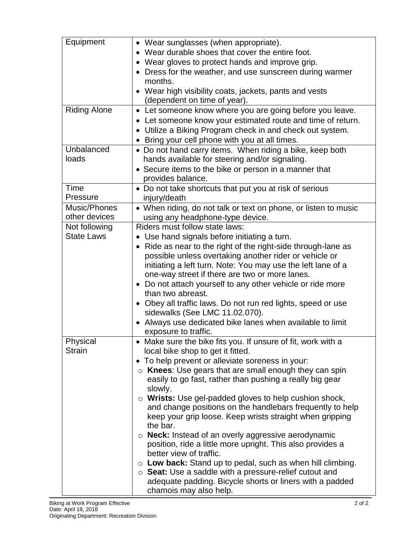| Equipment           | • Wear sunglasses (when appropriate).                                    |
|---------------------|--------------------------------------------------------------------------|
|                     | • Wear durable shoes that cover the entire foot.                         |
|                     | • Wear gloves to protect hands and improve grip.                         |
|                     | • Dress for the weather, and use sunscreen during warmer                 |
|                     | months.                                                                  |
|                     | • Wear high visibility coats, jackets, pants and vests                   |
|                     | (dependent on time of year).                                             |
| <b>Riding Alone</b> |                                                                          |
|                     | • Let someone know where you are going before you leave.                 |
|                     | • Let someone know your estimated route and time of return.              |
|                     | • Utilize a Biking Program check in and check out system.                |
|                     | Bring your cell phone with you at all times.<br>$\bullet$                |
| Unbalanced          | • Do not hand carry items. When riding a bike, keep both                 |
| loads               | hands available for steering and/or signaling.                           |
|                     | • Secure items to the bike or person in a manner that                    |
|                     | provides balance.                                                        |
| Time                | • Do not take shortcuts that put you at risk of serious                  |
| Pressure            | injury/death                                                             |
| Music/Phones        |                                                                          |
| other devices       | • When riding, do not talk or text on phone, or listen to music          |
|                     | using any headphone-type device.                                         |
| Not following       | Riders must follow state laws:                                           |
| <b>State Laws</b>   | • Use hand signals before initiating a turn.                             |
|                     | Ride as near to the right of the right-side through-lane as<br>$\bullet$ |
|                     | possible unless overtaking another rider or vehicle or                   |
|                     | initiating a left turn. Note: You may use the left lane of a             |
|                     | one-way street if there are two or more lanes.                           |
|                     | • Do not attach yourself to any other vehicle or ride more               |
|                     | than two abreast.                                                        |
|                     | Obey all traffic laws. Do not run red lights, speed or use               |
|                     | sidewalks (See LMC 11.02.070).                                           |
|                     | • Always use dedicated bike lanes when available to limit                |
|                     | exposure to traffic.                                                     |
| Physical            | • Make sure the bike fits you. If unsure of fit, work with a             |
| <b>Strain</b>       | local bike shop to get it fitted.                                        |
|                     |                                                                          |
|                     | • To help prevent or alleviate soreness in your:                         |
|                     | $\circ$ Knees: Use gears that are small enough they can spin             |
|                     | easily to go fast, rather than pushing a really big gear                 |
|                     | slowly.                                                                  |
|                     | o Wrists: Use gel-padded gloves to help cushion shock,                   |
|                     | and change positions on the handlebars frequently to help                |
|                     | keep your grip loose. Keep wrists straight when gripping                 |
|                     | the bar.                                                                 |
|                     | $\circ$ <b>Neck:</b> Instead of an overly aggressive aerodynamic         |
|                     | position, ride a little more upright. This also provides a               |
|                     | better view of traffic.                                                  |
|                     | $\circ$ Low back: Stand up to pedal, such as when hill climbing.         |
|                     | $\circ$ Seat: Use a saddle with a pressure-relief cutout and             |
|                     | adequate padding. Bicycle shorts or liners with a padded                 |
|                     | chamois may also help.                                                   |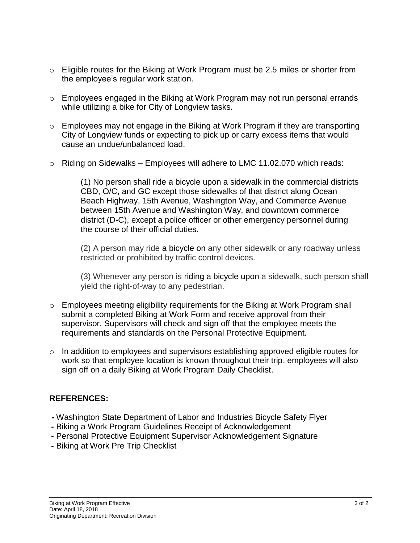- $\circ$  Eligible routes for the Biking at Work Program must be 2.5 miles or shorter from the employee's regular work station.
- o Employees engaged in the Biking at Work Program may not run personal errands while utilizing a bike for City of Longview tasks.
- o Employees may not engage in the Biking at Work Program if they are transporting City of Longview funds or expecting to pick up or carry excess items that would cause an undue/unbalanced load.
- $\circ$  Riding on Sidewalks Employees will adhere to LMC 11.02.070 which reads:

(1) No person shall ride a bicycle upon a sidewalk in the commercial districts CBD, O/C, and GC except those sidewalks of that district along Ocean Beach Highway, 15th Avenue, Washington Way, and Commerce Avenue between 15th Avenue and Washington Way, and downtown commerce district (D-C), except a police officer or other emergency personnel during the course of their official duties.

(2) A person may ride a bicycle on any other sidewalk or any roadway unless restricted or prohibited by traffic control devices.

(3) Whenever any person is riding a bicycle upon a sidewalk, such person shall yield the right-of-way to any pedestrian.

- o Employees meeting eligibility requirements for the Biking at Work Program shall submit a completed Biking at Work Form and receive approval from their supervisor. Supervisors will check and sign off that the employee meets the requirements and standards on the Personal Protective Equipment.
- $\circ$  In addition to employees and supervisors establishing approved eligible routes for work so that employee location is known throughout their trip, employees will also sign off on a daily Biking at Work Program Daily Checklist.

### **REFERENCES:**

- **-** Washington State Department of Labor and Industries Bicycle Safety Flyer
- **-** Biking a Work Program Guidelines Receipt of Acknowledgement
- **-** Personal Protective Equipment Supervisor Acknowledgement Signature
- **-** Biking at Work Pre Trip Checklist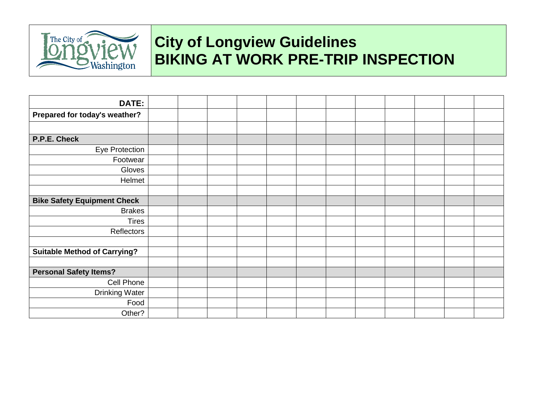

# **City of Longview Guidelines BIKING AT WORK PRE-TRIP INSPECTION**

| DATE:                               |  |  |  |  |  |  |
|-------------------------------------|--|--|--|--|--|--|
| Prepared for today's weather?       |  |  |  |  |  |  |
|                                     |  |  |  |  |  |  |
| P.P.E. Check                        |  |  |  |  |  |  |
| Eye Protection                      |  |  |  |  |  |  |
| Footwear                            |  |  |  |  |  |  |
| Gloves                              |  |  |  |  |  |  |
| Helmet                              |  |  |  |  |  |  |
|                                     |  |  |  |  |  |  |
| <b>Bike Safety Equipment Check</b>  |  |  |  |  |  |  |
| <b>Brakes</b>                       |  |  |  |  |  |  |
| <b>Tires</b>                        |  |  |  |  |  |  |
| Reflectors                          |  |  |  |  |  |  |
|                                     |  |  |  |  |  |  |
| <b>Suitable Method of Carrying?</b> |  |  |  |  |  |  |
|                                     |  |  |  |  |  |  |
| <b>Personal Safety Items?</b>       |  |  |  |  |  |  |
| Cell Phone                          |  |  |  |  |  |  |
| <b>Drinking Water</b>               |  |  |  |  |  |  |
| Food                                |  |  |  |  |  |  |
| Other?                              |  |  |  |  |  |  |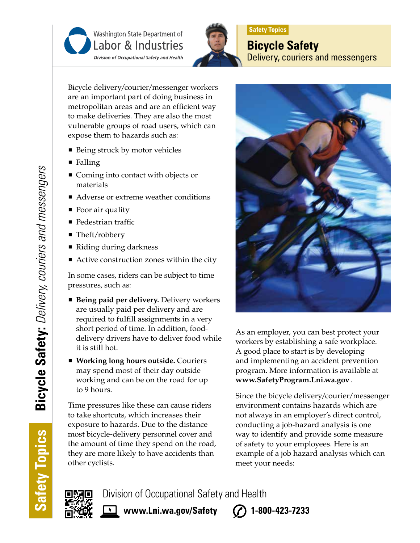



## **Safety Topics**

**Bicycle Safety** Delivery, couriers and messengers

Bicycle delivery/courier/messenger workers are an important part of doing business in metropolitan areas and are an efficient way to make deliveries. They are also the most vulnerable groups of road users, which can expose them to hazards such as:

- Being struck by motor vehicles
- Falling
- Coming into contact with objects or materials
- Adverse or extreme weather conditions
- Poor air quality
- **Pedestrian traffic**
- Theft/robbery
- Riding during darkness
- Active construction zones within the city

In some cases, riders can be subject to time pressures, such as:

- **Being paid per delivery.** Delivery workers are usually paid per delivery and are required to fulfill assignments in a very short period of time. In addition, fooddelivery drivers have to deliver food while it is still hot.
- **Working long hours outside.** Couriers may spend most of their day outside working and can be on the road for up to 9 hours.

Time pressures like these can cause riders to take shortcuts, which increases their exposure to hazards. Due to the distance most bicycle-delivery personnel cover and the amount of time they spend on the road, they are more likely to have accidents than other cyclists.



As an employer, you can best protect your workers by establishing a safe workplace. A good place to start is by developing and implementing an accident prevention program. More information is available at **www.SafetyProgram.Lni.wa.gov**.

Since the bicycle delivery/courier/messenger environment contains hazards which are not always in an employer's direct control, conducting a job-hazard analysis is one way to identify and provide some measure of safety to your employees. Here is an example of a job hazard analysis which can meet your needs:

**www.Lni.wa.gov/Safety 1-800-423-7233**

Division of Occupational Safety and Health

**Safety Topics**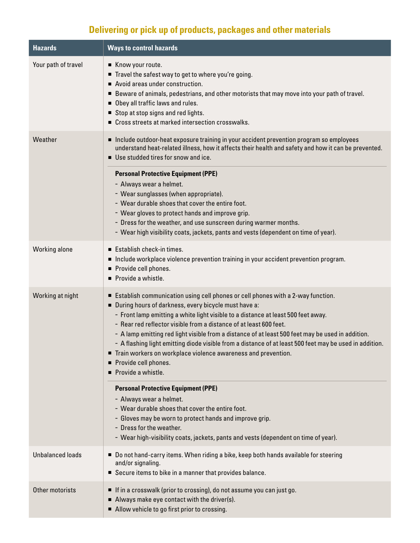## **Delivering or pick up of products, packages and other materials**

| <b>Hazards</b>          | <b>Ways to control hazards</b>                                                                                                                                                                                                                                                                                                                                                                                                                                                                                                                                                                                                    |
|-------------------------|-----------------------------------------------------------------------------------------------------------------------------------------------------------------------------------------------------------------------------------------------------------------------------------------------------------------------------------------------------------------------------------------------------------------------------------------------------------------------------------------------------------------------------------------------------------------------------------------------------------------------------------|
| Your path of travel     | Know your route.<br>Travel the safest way to get to where you're going.<br>Avoid areas under construction.<br>п<br>■ Beware of animals, pedestrians, and other motorists that may move into your path of travel.<br>Obey all traffic laws and rules.<br>Stop at stop signs and red lights.<br>■ Cross streets at marked intersection crosswalks.                                                                                                                                                                                                                                                                                  |
| Weather                 | Include outdoor-heat exposure training in your accident prevention program so employees<br>understand heat-related illness, how it affects their health and safety and how it can be prevented.<br>Use studded tires for snow and ice.                                                                                                                                                                                                                                                                                                                                                                                            |
|                         | <b>Personal Protective Equipment (PPE)</b><br>- Always wear a helmet.<br>- Wear sunglasses (when appropriate).<br>- Wear durable shoes that cover the entire foot.<br>- Wear gloves to protect hands and improve grip.<br>- Dress for the weather, and use sunscreen during warmer months.<br>- Wear high visibility coats, jackets, pants and vests (dependent on time of year).                                                                                                                                                                                                                                                 |
| Working alone           | Establish check-in times.<br>Include workplace violence prevention training in your accident prevention program.<br>Provide cell phones.<br>Provide a whistle.                                                                                                                                                                                                                                                                                                                                                                                                                                                                    |
| Working at night        | Establish communication using cell phones or cell phones with a 2-way function.<br>During hours of darkness, every bicycle must have a:<br>- Front lamp emitting a white light visible to a distance at least 500 feet away.<br>- Rear red reflector visible from a distance of at least 600 feet.<br>- A lamp emitting red light visible from a distance of at least 500 feet may be used in addition.<br>- A flashing light emitting diode visible from a distance of at least 500 feet may be used in addition.<br>Train workers on workplace violence awareness and prevention.<br>Provide cell phones.<br>Provide a whistle. |
|                         | <b>Personal Protective Equipment (PPE)</b><br>- Always wear a helmet.<br>- Wear durable shoes that cover the entire foot.<br>- Gloves may be worn to protect hands and improve grip.<br>- Dress for the weather.<br>- Wear high-visibility coats, jackets, pants and vests (dependent on time of year).                                                                                                                                                                                                                                                                                                                           |
| <b>Unbalanced loads</b> | ■ Do not hand-carry items. When riding a bike, keep both hands available for steering<br>and/or signaling.<br>Secure items to bike in a manner that provides balance.                                                                                                                                                                                                                                                                                                                                                                                                                                                             |
| Other motorists         | If in a crosswalk (prior to crossing), do not assume you can just go.<br>Always make eye contact with the driver(s).<br>Allow vehicle to go first prior to crossing.                                                                                                                                                                                                                                                                                                                                                                                                                                                              |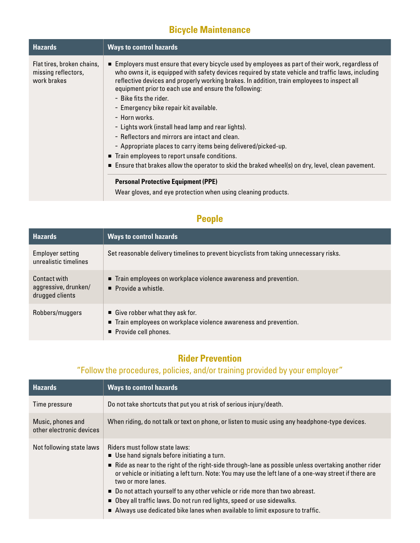### **Bicycle Maintenance**

| <b>Hazards</b>                                                   | <b>Ways to control hazards</b>                                                                                                                                                                                                                                                                                                                                                                                                                                                                                                                                                                                                                                                                                                                                                                                                                                                                      |
|------------------------------------------------------------------|-----------------------------------------------------------------------------------------------------------------------------------------------------------------------------------------------------------------------------------------------------------------------------------------------------------------------------------------------------------------------------------------------------------------------------------------------------------------------------------------------------------------------------------------------------------------------------------------------------------------------------------------------------------------------------------------------------------------------------------------------------------------------------------------------------------------------------------------------------------------------------------------------------|
| Flat tires, broken chains,<br>missing reflectors,<br>work brakes | Employers must ensure that every bicycle used by employees as part of their work, regardless of<br>who owns it, is equipped with safety devices required by state vehicle and traffic laws, including<br>reflective devices and properly working brakes. In addition, train employees to inspect all<br>equipment prior to each use and ensure the following:<br>- Bike fits the rider.<br>- Emergency bike repair kit available.<br>- Horn works.<br>- Lights work (install head lamp and rear lights).<br>- Reflectors and mirrors are intact and clean.<br>- Appropriate places to carry items being delivered/picked-up.<br>■ Train employees to report unsafe conditions.<br>■ Ensure that brakes allow the operator to skid the braked wheel(s) on dry, level, clean pavement.<br><b>Personal Protective Equipment (PPE)</b><br>Wear gloves, and eye protection when using cleaning products. |

### **People**

| <b>Hazards</b>                                          | <b>Ways to control hazards</b>                                                                                              |
|---------------------------------------------------------|-----------------------------------------------------------------------------------------------------------------------------|
| <b>Employer setting</b><br>unrealistic timelines        | Set reasonable delivery timelines to prevent bicyclists from taking unnecessary risks.                                      |
| Contact with<br>aggressive, drunken/<br>drugged clients | ■ Train employees on workplace violence awareness and prevention.<br>$\blacksquare$ Provide a whistle.                      |
| Robbers/muggers                                         | Give robber what they ask for.<br>■ Train employees on workplace violence awareness and prevention.<br>Provide cell phones. |

### **Rider Prevention**

### "Follow the procedures, policies, and/or training provided by your employer"

| <b>Hazards</b>                                | <b>Ways to control hazards</b>                                                                                                                                                                                                                                                                                                                                                                                                                                                                                                                                                 |
|-----------------------------------------------|--------------------------------------------------------------------------------------------------------------------------------------------------------------------------------------------------------------------------------------------------------------------------------------------------------------------------------------------------------------------------------------------------------------------------------------------------------------------------------------------------------------------------------------------------------------------------------|
| Time pressure                                 | Do not take shortcuts that put you at risk of serious injury/death.                                                                                                                                                                                                                                                                                                                                                                                                                                                                                                            |
| Music, phones and<br>other electronic devices | When riding, do not talk or text on phone, or listen to music using any headphone-type devices.                                                                                                                                                                                                                                                                                                                                                                                                                                                                                |
| Not following state laws                      | Riders must follow state laws:<br>$\blacksquare$ Use hand signals before initiating a turn.<br>Ride as near to the right of the right-side through-lane as possible unless overtaking another rider<br>or vehicle or initiating a left turn. Note: You may use the left lane of a one-way street if there are<br>two or more lanes.<br>■ Do not attach yourself to any other vehicle or ride more than two abreast.<br>■ Obey all traffic laws. Do not run red lights, speed or use sidewalks.<br>Always use dedicated bike lanes when available to limit exposure to traffic. |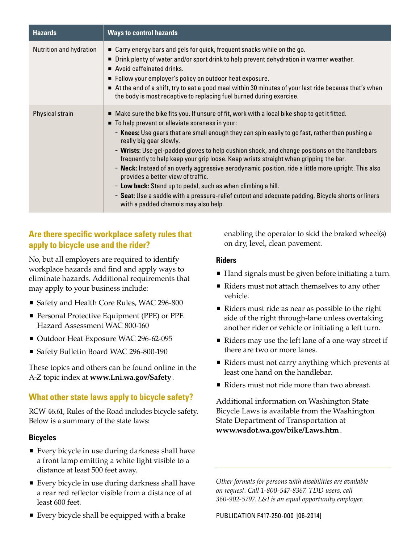| <b>Hazards</b>          | <b>Ways to control hazards</b>                                                                                                                                                                                                                                                                                                                                                                                                                                                                                                                                                                                                                                                                                                                                                                                                                   |
|-------------------------|--------------------------------------------------------------------------------------------------------------------------------------------------------------------------------------------------------------------------------------------------------------------------------------------------------------------------------------------------------------------------------------------------------------------------------------------------------------------------------------------------------------------------------------------------------------------------------------------------------------------------------------------------------------------------------------------------------------------------------------------------------------------------------------------------------------------------------------------------|
| Nutrition and hydration | ■ Carry energy bars and gels for quick, frequent snacks while on the go.<br>■ Drink plenty of water and/or sport drink to help prevent dehydration in warmer weather.<br>$\blacksquare$ Avoid caffeinated drinks.<br>Follow your employer's policy on outdoor heat exposure.<br>At the end of a shift, try to eat a good meal within 30 minutes of your last ride because that's when<br>the body is most receptive to replacing fuel burned during exercise.                                                                                                                                                                                                                                                                                                                                                                                    |
| Physical strain         | $\blacksquare$ Make sure the bike fits you. If unsure of fit, work with a local bike shop to get it fitted.<br>■ To help prevent or alleviate soreness in your:<br>- Knees: Use gears that are small enough they can spin easily to go fast, rather than pushing a<br>really big gear slowly.<br>- Wrists: Use gel-padded gloves to help cushion shock, and change positions on the handlebars<br>frequently to help keep your grip loose. Keep wrists straight when gripping the bar.<br>- Neck: Instead of an overly aggressive aerodynamic position, ride a little more upright. This also<br>provides a better view of traffic.<br>- Low back: Stand up to pedal, such as when climbing a hill.<br>- Seat: Use a saddle with a pressure-relief cutout and adequate padding. Bicycle shorts or liners<br>with a padded chamois may also help. |

### **Are there specific workplace safety rules that apply to bicycle use and the rider?**

No, but all employers are required to identify workplace hazards and find and apply ways to eliminate hazards. Additional requirements that may apply to your business include:

- Safety and Health Core Rules, WAC 296-800
- **Personal Protective Equipment (PPE) or PPE** Hazard Assessment WAC 800-160
- Outdoor Heat Exposure WAC 296-62-095
- Safety Bulletin Board WAC 296-800-190

These topics and others can be found online in the A-Z topic index at **www.Lni.wa.gov/Safety**.

#### **What other state laws apply to bicycle safety?**

RCW 46.61, Rules of the Road includes bicycle safety. Below is a summary of the state laws:

#### **Bicycles**

- Every bicycle in use during darkness shall have a front lamp emitting a white light visible to a distance at least 500 feet away.
- Every bicycle in use during darkness shall have a rear red reflector visible from a distance of at least 600 feet.
- Every bicycle shall be equipped with a brake

enabling the operator to skid the braked wheel(s) on dry, level, clean pavement.

#### **Riders**

- Hand signals must be given before initiating a turn.
- Riders must not attach themselves to any other vehicle.
- Riders must ride as near as possible to the right side of the right through-lane unless overtaking another rider or vehicle or initiating a left turn.
- Riders may use the left lane of a one-way street if there are two or more lanes.
- Riders must not carry anything which prevents at least one hand on the handlebar.
- Riders must not ride more than two abreast.

Additional information on Washington State Bicycle Laws is available from the Washington State Department of Transportation at **www.wsdot.wa.gov/bike/Laws.htm**.

*Other formats for persons with disabilities are available on request. Call 1-800-547-8367. TDD users, call 360-902-5797. L&I is an equal opportunity employer.*

PUBLICATION F417-250-000 [06-2014]